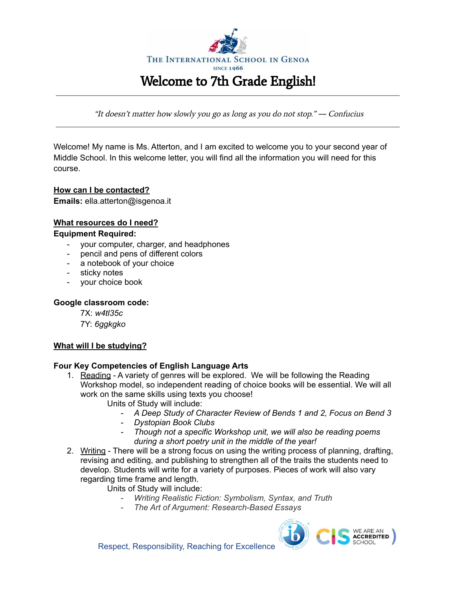

"It doesn't matter how slowly you go as long as you do not stop." *―* Confucius

Welcome! My name is Ms. Atterton, and I am excited to welcome you to your second year of Middle School. In this welcome letter, you will find all the information you will need for this course.

## **How can I be contacted?**

**Emails:** ella.atterton@isgenoa.it

# **What resources do I need?**

## **Equipment Required:**

- your computer, charger, and headphones
- pencil and pens of different colors
- a notebook of your choice
- sticky notes
- your choice book

#### **Google classroom code:**

7X: *w4tl35c* 7Y: *6ggkgko*

## **What will I be studying?**

#### **Four Key Competencies of English Language Arts**

- 1. Reading A variety of genres will be explored. We will be following the Reading Workshop model, so independent reading of choice books will be essential. We will all work on the same skills using texts you choose!
	- Units of Study will include:
		- *- A Deep Study of Character Review of Bends 1 and 2, Focus on Bend 3*
		- *- Dystopian Book Clubs*
		- *- Though not a specific Workshop unit, we will also be reading poems during a short poetry unit in the middle of the year!*
- 2. Writing There will be a strong focus on using the writing process of planning, drafting, revising and editing, and publishing to strengthen all of the traits the students need to develop. Students will write for a variety of purposes. Pieces of work will also vary regarding time frame and length.
	- Units of Study will include:
		- *- Writing Realistic Fiction: Symbolism, Syntax, and Truth*
		- *- The Art of Argument: Research-Based Essays*

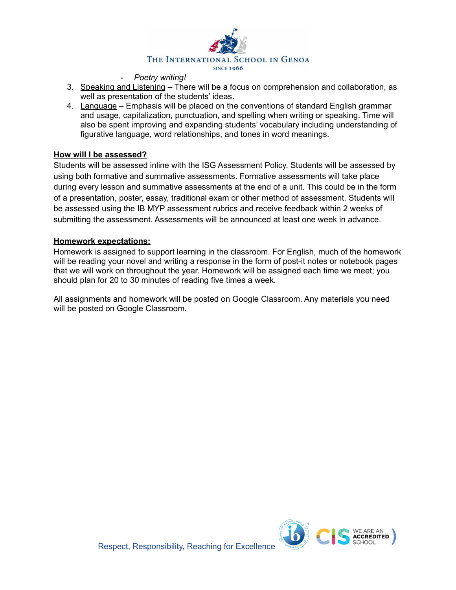

#### *- Poetry writing!*

- 3. Speaking and Listening There will be a focus on comprehension and collaboration, as well as presentation of the students' ideas.
- 4. Language Emphasis will be placed on the conventions of standard English grammar and usage, capitalization, punctuation, and spelling when writing or speaking. Time will also be spent improving and expanding students' vocabulary including understanding of figurative language, word relationships, and tones in word meanings.

#### **How will I be assessed?**

Students will be assessed inline with the ISG Assessment Policy. Students will be assessed by using both formative and summative assessments. Formative assessments will take place during every lesson and summative assessments at the end of a unit. This could be in the form of a presentation, poster, essay, traditional exam or other method of assessment. Students will be assessed using the IB MYP assessment rubrics and receive feedback within 2 weeks of submitting the assessment. Assessments will be announced at least one week in advance.

#### **Homework expectations:**

Homework is assigned to support learning in the classroom. For English, much of the homework will be reading your novel and writing a response in the form of post-it notes or notebook pages that we will work on throughout the year. Homework will be assigned each time we meet; you should plan for 20 to 30 minutes of reading five times a week.

All assignments and homework will be posted on Google Classroom. Any materials you need will be posted on Google Classroom.

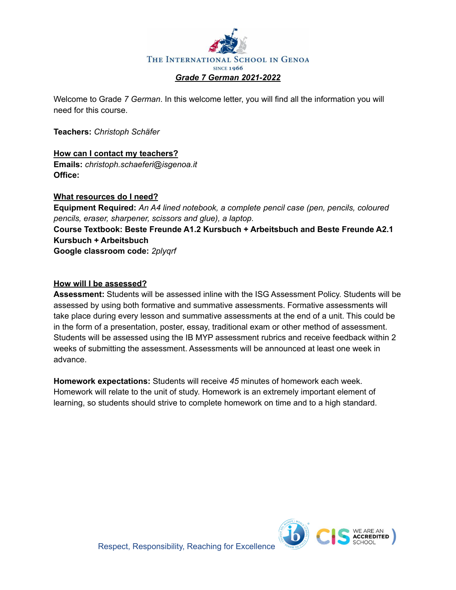

Welcome to Grade *7 German*. In this welcome letter, you will find all the information you will need for this course.

**Teachers:** *Christoph Schäfer*

#### **How can I contact my teachers? Emails:** *christoph.schaeferi@isgenoa.it* **Office:**

## **What resources do I need?**

**Equipment Required:** *An A4 lined notebook, a complete pencil case (pen, pencils, coloured pencils, eraser, sharpener, scissors and glue), a laptop.* **Course Textbook: Beste Freunde A1.2 Kursbuch + Arbeitsbuch and Beste Freunde A2.1 Kursbuch + Arbeitsbuch Google classroom code:** *2plyqrf*

#### **How will I be assessed?**

**Assessment:** Students will be assessed inline with the ISG Assessment Policy. Students will be assessed by using both formative and summative assessments. Formative assessments will take place during every lesson and summative assessments at the end of a unit. This could be in the form of a presentation, poster, essay, traditional exam or other method of assessment. Students will be assessed using the IB MYP assessment rubrics and receive feedback within 2 weeks of submitting the assessment. Assessments will be announced at least one week in advance.

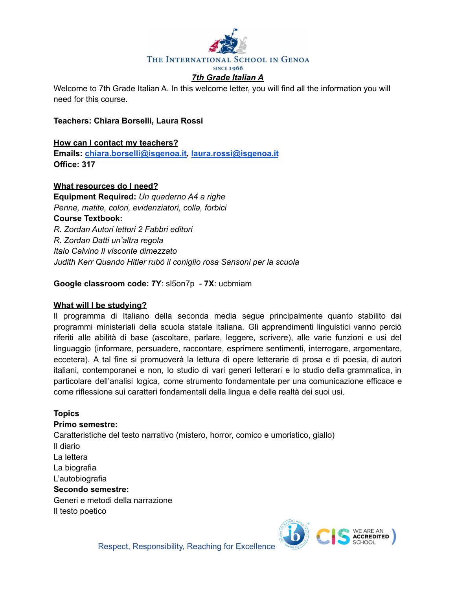

Welcome to 7th Grade Italian A. In this welcome letter, you will find all the information you will need for this course.

#### **Teachers: Chiara Borselli, Laura Rossi**

#### **How can I contact my teachers?**

**Emails: [chiara.borselli@isgenoa.it,](mailto:chiara.borselli@isgenoa.it) [laura.rossi@isgenoa.it](mailto:laura.rossi@isgenoa.it) Office: 317**

#### **What resources do I need?**

**Equipment Required:** *Un quaderno A4 a righe Penne, matite, colori, evidenziatori, colla, forbici* **Course Textbook:** *R. Zordan Autori lettori 2 Fabbri editori R. Zordan Datti un'altra regola Italo Calvino Il visconte dimezzato Judith Kerr Quando Hitler rubò il coniglio rosa Sansoni per la scuola*

**Google classroom code: 7Y**: sl5on7p - **7X**: ucbmiam

#### **What will I be studying?**

Il programma di Italiano della seconda media segue principalmente quanto stabilito dai programmi ministeriali della scuola statale italiana. Gli apprendimenti linguistici vanno perciò riferiti alle abilità di base (ascoltare, parlare, leggere, scrivere), alle varie funzioni e usi del linguaggio (informare, persuadere, raccontare, esprimere sentimenti, interrogare, argomentare, eccetera). A tal fine si promuoverà la lettura di opere letterarie di prosa e di poesia, di autori italiani, contemporanei e non, lo studio di vari generi letterari e lo studio della grammatica, in particolare dell'analisi logica, come strumento fondamentale per una comunicazione efficace e come riflessione sui caratteri fondamentali della lingua e delle realtà dei suoi usi.

#### **Topics**

#### **Primo semestre:**

Caratteristiche del testo narrativo (mistero, horror, comico e umoristico, giallo) Il diario La lettera La biografia L'autobiografia **Secondo semestre:** Generi e metodi della narrazione Il testo poetico



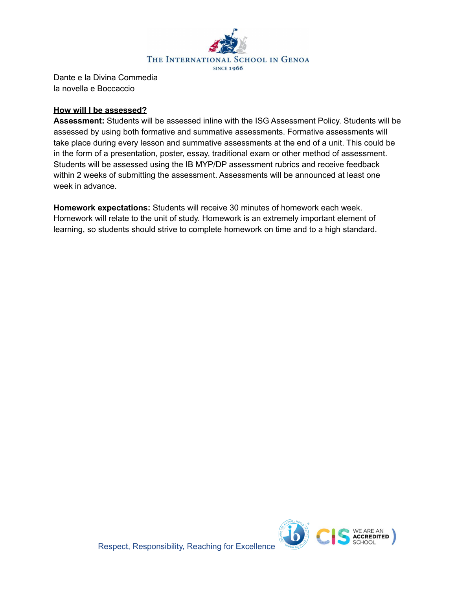

Dante e la Divina Commedia la novella e Boccaccio

#### **How will I be assessed?**

**Assessment:** Students will be assessed inline with the ISG Assessment Policy. Students will be assessed by using both formative and summative assessments. Formative assessments will take place during every lesson and summative assessments at the end of a unit. This could be in the form of a presentation, poster, essay, traditional exam or other method of assessment. Students will be assessed using the IB MYP/DP assessment rubrics and receive feedback within 2 weeks of submitting the assessment. Assessments will be announced at least one week in advance.

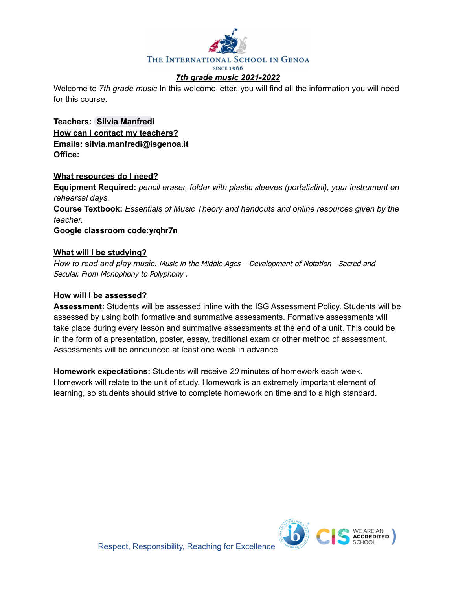

Welcome to *7th grade music* In this welcome letter, you will find all the information you will need for this course.

**Teachers: Silvia [Manfredi](mailto:silvia.manfredi@isgenoa.it) How can I contact my teachers? Emails: silvia.manfredi@isgenoa.it Office:**

#### **What resources do I need?**

**Equipment Required:** *pencil eraser, folder with plastic sleeves (portalistini), your instrument on rehearsal days.* **Course Textbook:** *Essentials of Music Theory and handouts and online resources given by the teacher.*

**Google classroom code:yrqhr7n**

#### **What will I be studying?**

*How to read and play music.* Music in the Middle Ages – Development of Notation - Sacred and Secular. From Monophony to Polyphony .

#### **How will I be assessed?**

**Assessment:** Students will be assessed inline with the ISG Assessment Policy. Students will be assessed by using both formative and summative assessments. Formative assessments will take place during every lesson and summative assessments at the end of a unit. This could be in the form of a presentation, poster, essay, traditional exam or other method of assessment. Assessments will be announced at least one week in advance.

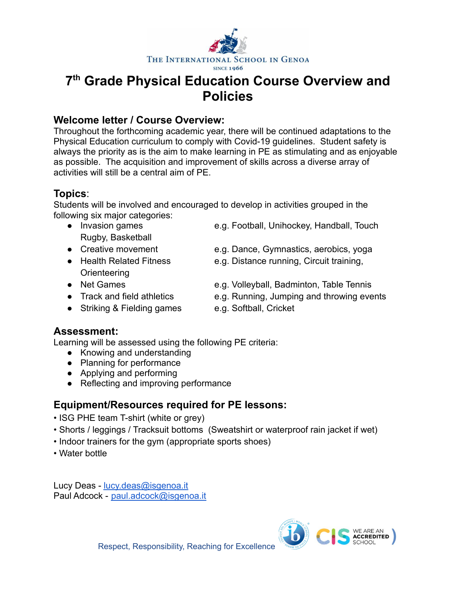

# **7 th Grade Physical Education Course Overview and Policies**

# **Welcome letter / Course Overview:**

Throughout the forthcoming academic year, there will be continued adaptations to the Physical Education curriculum to comply with Covid-19 guidelines. Student safety is always the priority as is the aim to make learning in PE as stimulating and as enjoyable as possible. The acquisition and improvement of skills across a diverse array of activities will still be a central aim of PE.

# **Topics**:

Students will be involved and encouraged to develop in activities grouped in the following six major categories:

- Rugby, Basketball
- 
- Orienteering
- 
- 
- Striking & Fielding games e.g. Softball, Cricket
- Invasion games e.g. Football, Unihockey, Handball, Touch
- Creative movement e.g. Dance, Gymnastics, aerobics, yoga
- Health Related Fitness e.g. Distance running, Circuit training,
- Net Games e.g. Volleyball, Badminton, Table Tennis
- Track and field athletics e.g. Running, Jumping and throwing events
	-

# **Assessment:**

Learning will be assessed using the following PE criteria:

- Knowing and understanding
- Planning for performance
- Applying and performing
- Reflecting and improving performance

# **Equipment/Resources required for PE lessons:**

- ISG PHE team T-shirt (white or grey)
- Shorts / leggings / Tracksuit bottoms (Sweatshirt or waterproof rain jacket if wet)
- Indoor trainers for the gym (appropriate sports shoes)
- Water bottle

Lucy Deas - [lucy.deas@isgenoa.i](mailto:lucy.deas@isgenoa.it)t Paul Adcock - [paul.adcock@isgenoa.it](mailto:paul.adcock@isgenoa.it)

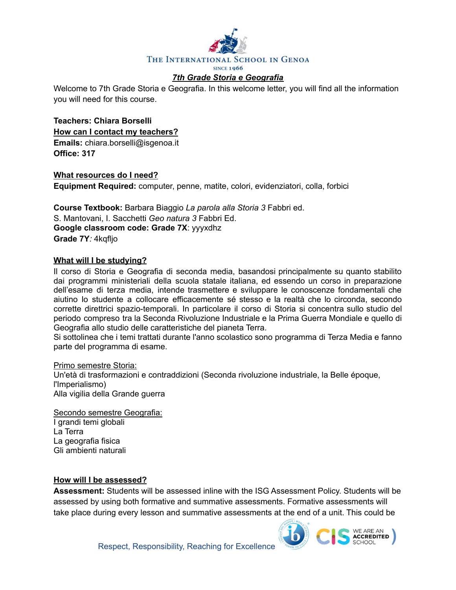

#### *7th Grade Storia e Geografia*

Welcome to 7th Grade Storia e Geografia. In this welcome letter, you will find all the information you will need for this course.

**Teachers: Chiara Borselli How can I contact my teachers? Emails:** chiara.borselli@isgenoa.it **Office: 317**

**What resources do I need? Equipment Required:** computer, penne, matite, colori, evidenziatori, colla, forbici

**Course Textbook:** Barbara Biaggio *La parola alla Storia 3* Fabbri ed. S. Mantovani, I. Sacchetti *Geo natura 3* Fabbri Ed. **Google classroom code: Grade 7X**: yyyxdhz **Grade 7Y***:* 4kqfljo

#### **What will I be studying?**

Il corso di Storia e Geografia di seconda media, basandosi principalmente su quanto stabilito dai programmi ministeriali della scuola statale italiana, ed essendo un corso in preparazione dell'esame di terza media, intende trasmettere e sviluppare le conoscenze fondamentali che aiutino lo studente a collocare efficacemente sé stesso e la realtà che lo circonda, secondo corrette direttrici spazio-temporali. In particolare il corso di Storia si concentra sullo studio del periodo compreso tra la Seconda Rivoluzione Industriale e la Prima Guerra Mondiale e quello di Geografia allo studio delle caratteristiche del pianeta Terra.

Si sottolinea che i temi trattati durante l'anno scolastico sono programma di Terza Media e fanno parte del programma di esame.

Primo semestre Storia: Un'età di trasformazioni e contraddizioni (Seconda rivoluzione industriale, la Belle époque, l'Imperialismo) Alla vigilia della Grande guerra

Secondo semestre Geografia: I grandi temi globali La Terra La geografia fisica Gli ambienti naturali

#### **How will I be assessed?**

**Assessment:** Students will be assessed inline with the ISG Assessment Policy. Students will be assessed by using both formative and summative assessments. Formative assessments will take place during every lesson and summative assessments at the end of a unit. This could be

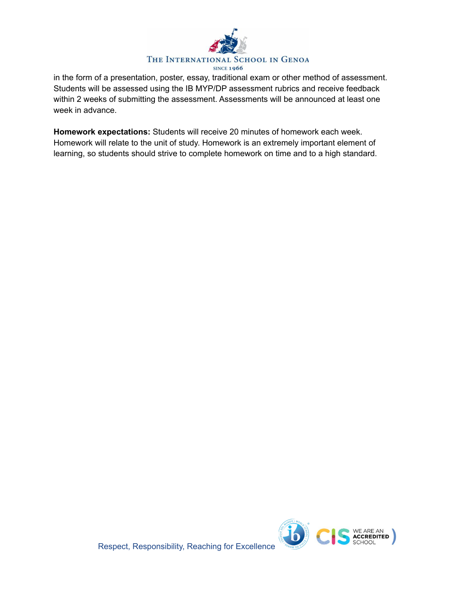

in the form of a presentation, poster, essay, traditional exam or other method of assessment. Students will be assessed using the IB MYP/DP assessment rubrics and receive feedback within 2 weeks of submitting the assessment. Assessments will be announced at least one week in advance.

**Homework expectations:** Students will receive 20 minutes of homework each week. Homework will relate to the unit of study. Homework is an extremely important element of learning, so students should strive to complete homework on time and to a high standard.



Respect, Responsibility, Reaching for Excellence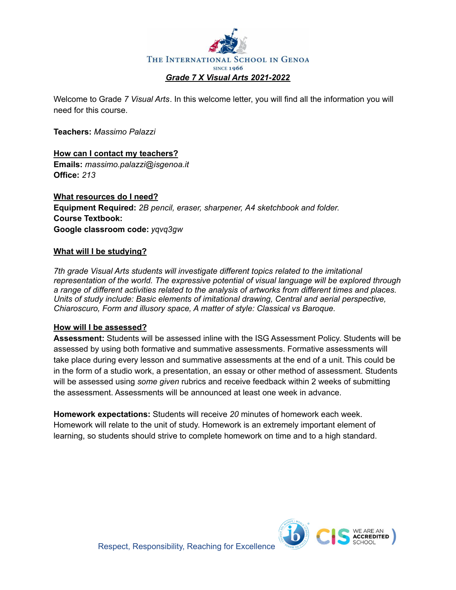

Welcome to Grade *7 Visual Arts*. In this welcome letter, you will find all the information you will need for this course.

**Teachers:** *Massimo Palazzi*

**How can I contact my teachers? Emails:** *massimo.palazzi@isgenoa.it* **Office:** *213*

**What resources do I need? Equipment Required:** *2B pencil, eraser, sharpener, A4 sketchbook and folder.* **Course Textbook: Google classroom code:** *yqvq3gw*

#### **What will I be studying?**

*7th grade Visual Arts students will investigate different topics related to the imitational representation of the world. The expressive potential of visual language will be explored through a range of different activities related to the analysis of artworks from different times and places. Units of study include: Basic elements of imitational drawing, Central and aerial perspective, Chiaroscuro, Form and illusory space, A matter of style: Classical vs Baroque.*

#### **How will I be assessed?**

**Assessment:** Students will be assessed inline with the ISG Assessment Policy. Students will be assessed by using both formative and summative assessments. Formative assessments will take place during every lesson and summative assessments at the end of a unit. This could be in the form of a studio work, a presentation, an essay or other method of assessment. Students will be assessed using *some given* rubrics and receive feedback within 2 weeks of submitting the assessment. Assessments will be announced at least one week in advance.

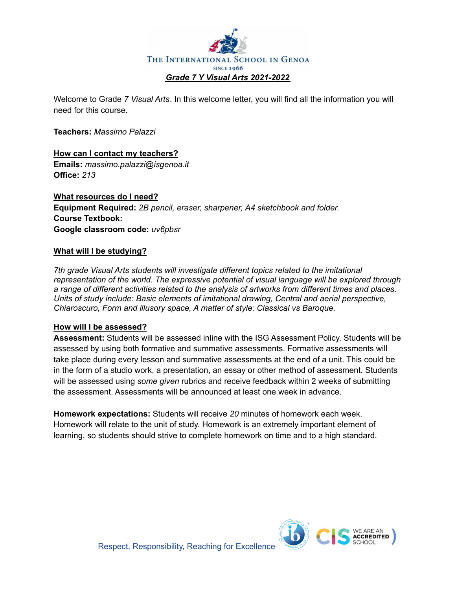

Welcome to Grade *7 Visual Arts*. In this welcome letter, you will find all the information you will need for this course.

**Teachers:** *Massimo Palazzi*

**How can I contact my teachers? Emails:** *massimo.palazzi@isgenoa.it* **Office:** *213*

**What resources do I need? Equipment Required:** *2B pencil, eraser, sharpener, A4 sketchbook and folder.* **Course Textbook: Google classroom code:** *uv6pbsr*

#### **What will I be studying?**

*7th grade Visual Arts students will investigate different topics related to the imitational representation of the world. The expressive potential of visual language will be explored through a range of different activities related to the analysis of artworks from different times and places. Units of study include: Basic elements of imitational drawing, Central and aerial perspective, Chiaroscuro, Form and illusory space, A matter of style: Classical vs Baroque.*

#### **How will I be assessed?**

**Assessment:** Students will be assessed inline with the ISG Assessment Policy. Students will be assessed by using both formative and summative assessments. Formative assessments will take place during every lesson and summative assessments at the end of a unit. This could be in the form of a studio work, a presentation, an essay or other method of assessment. Students will be assessed using *some given* rubrics and receive feedback within 2 weeks of submitting the assessment. Assessments will be announced at least one week in advance.

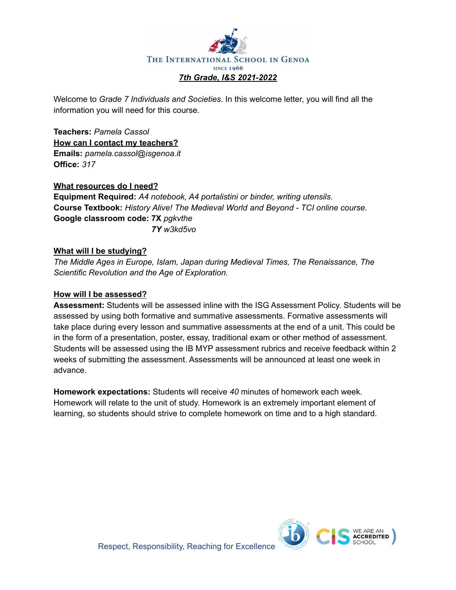

Welcome to *Grade 7 Individuals and Societies*. In this welcome letter, you will find all the information you will need for this course.

**Teachers:** *Pamela Cassol* **How can I contact my teachers? Emails:** *pamela.cassol@isgenoa.it* **Office:** *317*

#### **What resources do I need?**

**Equipment Required:** *A4 notebook, A4 portalistini or binder, writing utensils.* **Course Textbook:** *History Alive! The Medieval World and Beyond - TCI online course.* **Google classroom code: 7X** *pgkvthe 7Y w3kd5vo*

#### **What will I be studying?**

*The Middle Ages in Europe, Islam, Japan during Medieval Times, The Renaissance, The Scientific Revolution and the Age of Exploration.*

#### **How will I be assessed?**

**Assessment:** Students will be assessed inline with the ISG Assessment Policy. Students will be assessed by using both formative and summative assessments. Formative assessments will take place during every lesson and summative assessments at the end of a unit. This could be in the form of a presentation, poster, essay, traditional exam or other method of assessment. Students will be assessed using the IB MYP assessment rubrics and receive feedback within 2 weeks of submitting the assessment. Assessments will be announced at least one week in advance.

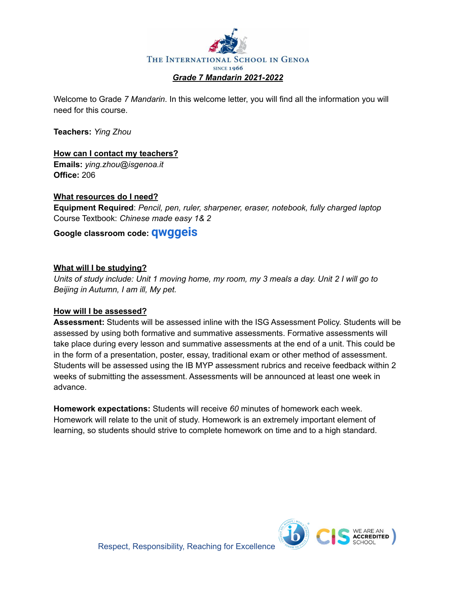

Welcome to Grade *7 Mandarin*. In this welcome letter, you will find all the information you will need for this course.

**Teachers:** *Ying Zhou*

## **How can I contact my teachers?**

**Emails:** *ying.zhou@isgenoa.it* **Office:** 206

## **What resources do I need?**

**Equipment Required**: *Pencil, pen, ruler, sharpener, eraser, notebook, fully charged laptop* Course Textbook: *Chinese made easy 1& 2*

## **Google classroom code: qwggei[s](https://meet.google.com/lookup/eze5ellhr4?authuser=0&hs=179)**

#### **What will I be studying?**

Units of study include: Unit 1 moving home, my room, my 3 meals a day. Unit 2 I will go to *Beijing in Autumn, I am ill, My pet.*

#### **How will I be assessed?**

**Assessment:** Students will be assessed inline with the ISG Assessment Policy. Students will be assessed by using both formative and summative assessments. Formative assessments will take place during every lesson and summative assessments at the end of a unit. This could be in the form of a presentation, poster, essay, traditional exam or other method of assessment. Students will be assessed using the IB MYP assessment rubrics and receive feedback within 2 weeks of submitting the assessment. Assessments will be announced at least one week in advance.

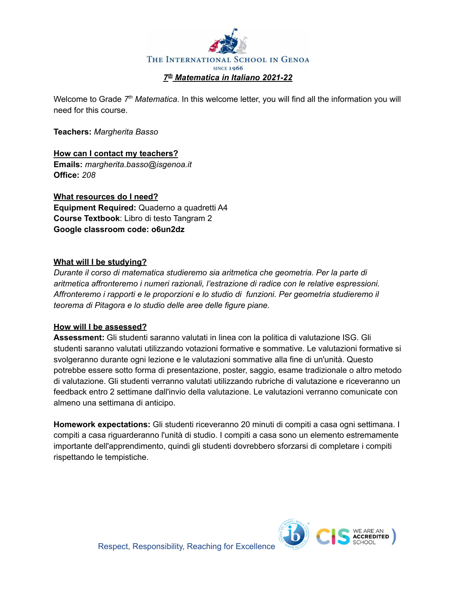

Welcome to Grade 7<sup>th</sup> Matematica. In this welcome letter, you will find all the information you will need for this course.

**Teachers:** *Margherita Basso*

**How can I contact my teachers? Emails:** *margherita.basso@isgenoa.it* **Office:** *208*

**What resources do I need? Equipment Required:** Quaderno a quadretti A4 **Course Textbook**: Libro di testo Tangram 2 **Google classroom code: o6un2dz**

#### **What will I be studying?**

*Durante il corso di matematica studieremo sia aritmetica che geometria. Per la parte di aritmetica affronteremo i numeri razionali, l'estrazione di radice con le relative espressioni. Affronteremo i rapporti e le proporzioni e lo studio di funzioni. Per geometria studieremo il teorema di Pitagora e lo studio delle aree delle figure piane.*

#### **How will I be assessed?**

**Assessment:** Gli studenti saranno valutati in linea con la politica di valutazione ISG. Gli studenti saranno valutati utilizzando votazioni formative e sommative. Le valutazioni formative si svolgeranno durante ogni lezione e le valutazioni sommative alla fine di un'unità. Questo potrebbe essere sotto forma di presentazione, poster, saggio, esame tradizionale o altro metodo di valutazione. Gli studenti verranno valutati utilizzando rubriche di valutazione e riceveranno un feedback entro 2 settimane dall'invio della valutazione. Le valutazioni verranno comunicate con almeno una settimana di anticipo.

**Homework expectations:** Gli studenti riceveranno 20 minuti di compiti a casa ogni settimana. I compiti a casa riguarderanno l'unità di studio. I compiti a casa sono un elemento estremamente importante dell'apprendimento, quindi gli studenti dovrebbero sforzarsi di completare i compiti rispettando le tempistiche.

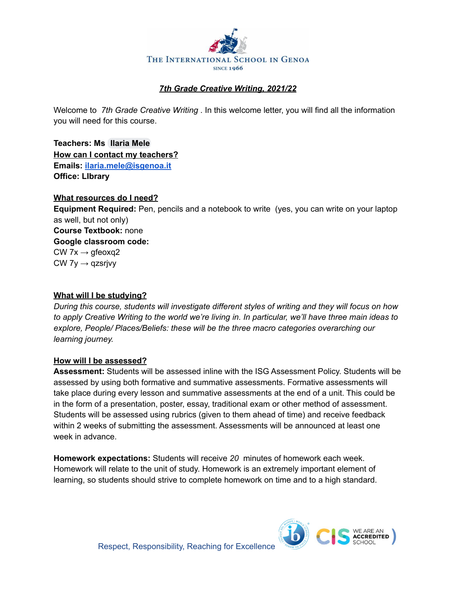

## *7th Grade Creative Writing, 2021/22*

Welcome to *7th Grade Creative Writing* . In this welcome letter, you will find all the information you will need for this course.

**Teachers: Ms [Ilaria](mailto:ilaria.mele@isgenoa.it) Mele How can I contact my teachers? Emails: [ilaria.mele@isgenoa.it](mailto:ilaria.mele@isgenoa.it) Office: LIbrary**

#### **What resources do I need?**

**Equipment Required:** Pen, pencils and a notebook to write (yes, you can write on your laptop as well, but not only) **Course Textbook:** none **Google classroom code:** CW 7 $x \rightarrow$  gfeoxq2  $CW$  7y  $\rightarrow$  qzsrjvy

#### **What will I be studying?**

*During this course, students will investigate different styles of writing and they will focus on how* to apply Creative Writing to the world we're living in. In particular, we'll have three main ideas to *explore, People/ Places/Beliefs: these will be the three macro categories overarching our learning journey.*

#### **How will I be assessed?**

**Assessment:** Students will be assessed inline with the ISG Assessment Policy. Students will be assessed by using both formative and summative assessments. Formative assessments will take place during every lesson and summative assessments at the end of a unit. This could be in the form of a presentation, poster, essay, traditional exam or other method of assessment. Students will be assessed using rubrics (given to them ahead of time) and receive feedback within 2 weeks of submitting the assessment. Assessments will be announced at least one week in advance.

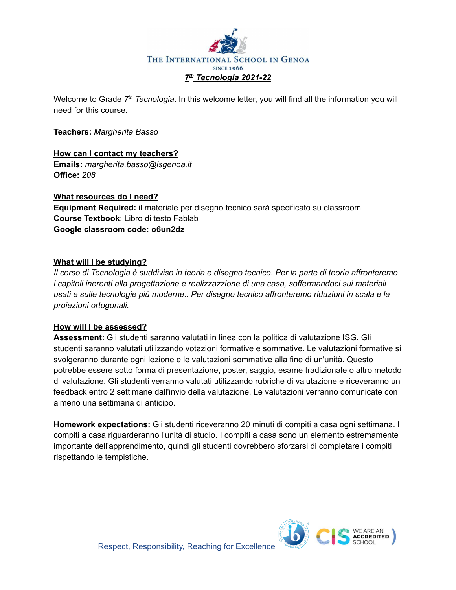

Welcome to Grade 7<sup>th</sup> Tecnologia. In this welcome letter, you will find all the information you will need for this course.

**Teachers:** *Margherita Basso*

# **How can I contact my teachers?**

**Emails:** *margherita.basso@isgenoa.it* **Office:** *208*

## **What resources do I need?**

**Equipment Required:** il materiale per disegno tecnico sarà specificato su classroom **Course Textbook**: Libro di testo Fablab **Google classroom code: o6un2dz**

## **What will I be studying?**

*Il corso di Tecnologia è suddiviso in teoria e disegno tecnico. Per la parte di teoria affronteremo i capitoli inerenti alla progettazione e realizzazzione di una casa, soffermandoci sui materiali usati e sulle tecnologie più moderne.. Per disegno tecnico affronteremo riduzioni in scala e le proiezioni ortogonali.*

## **How will I be assessed?**

**Assessment:** Gli studenti saranno valutati in linea con la politica di valutazione ISG. Gli studenti saranno valutati utilizzando votazioni formative e sommative. Le valutazioni formative si svolgeranno durante ogni lezione e le valutazioni sommative alla fine di un'unità. Questo potrebbe essere sotto forma di presentazione, poster, saggio, esame tradizionale o altro metodo di valutazione. Gli studenti verranno valutati utilizzando rubriche di valutazione e riceveranno un feedback entro 2 settimane dall'invio della valutazione. Le valutazioni verranno comunicate con almeno una settimana di anticipo.

**Homework expectations:** Gli studenti riceveranno 20 minuti di compiti a casa ogni settimana. I compiti a casa riguarderanno l'unità di studio. I compiti a casa sono un elemento estremamente importante dell'apprendimento, quindi gli studenti dovrebbero sforzarsi di completare i compiti rispettando le tempistiche.

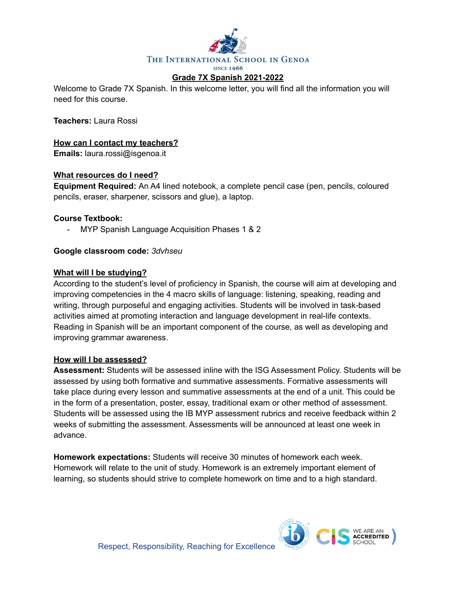

Welcome to Grade 7X Spanish. In this welcome letter, you will find all the information you will need for this course.

**Teachers:** Laura Rossi

**How can I contact my teachers?**

**Emails:** laura.rossi@isgenoa.it

#### **What resources do I need?**

**Equipment Required:** An A4 lined notebook, a complete pencil case (pen, pencils, coloured pencils, eraser, sharpener, scissors and glue), a laptop.

#### **Course Textbook:**

MYP Spanish Language Acquisition Phases 1 & 2

#### **Google classroom code:** *3dvhseu*

#### **What will I be studying?**

According to the student's level of proficiency in Spanish, the course will aim at developing and improving competencies in the 4 macro skills of language: listening, speaking, reading and writing, through purposeful and engaging activities. Students will be involved in task-based activities aimed at promoting interaction and language development in real-life contexts. Reading in Spanish will be an important component of the course, as well as developing and improving grammar awareness.

#### **How will I be assessed?**

**Assessment:** Students will be assessed inline with the ISG Assessment Policy. Students will be assessed by using both formative and summative assessments. Formative assessments will take place during every lesson and summative assessments at the end of a unit. This could be in the form of a presentation, poster, essay, traditional exam or other method of assessment. Students will be assessed using the IB MYP assessment rubrics and receive feedback within 2 weeks of submitting the assessment. Assessments will be announced at least one week in advance.

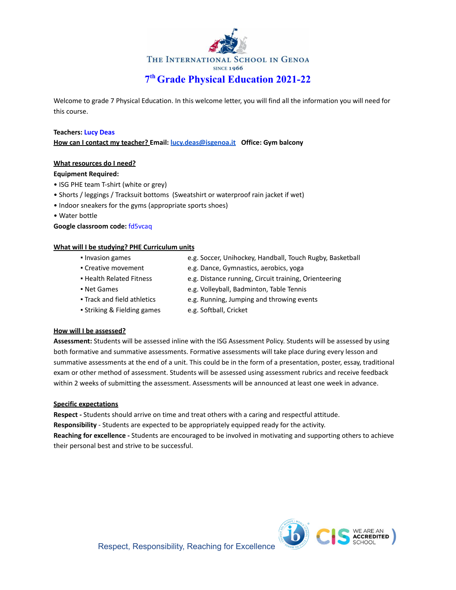

Welcome to grade 7 Physical Education. In this welcome letter, you will find all the information you will need for this course.

#### **Teachers: Lucy Deas**

**How can I contact my teacher? Email: [lucy.deas@isgenoa.it](mailto:lucy.deas@isgenoa.it) Office: Gym balcony**

#### **What resources do I need?**

#### **Equipment Required:**

- ISG PHE team T-shirt (white or grey)
- Shorts / leggings / Tracksuit bottoms (Sweatshirt or waterproof rain jacket if wet)
- Indoor sneakers for the gyms (appropriate sports shoes)
- Water bottle

#### **Google classroom code:** fd5vcaq

#### **What will I be studying? PHE Curriculum units**

- 
- Invasion games e.g. Soccer, Unihockey, Handball, Touch Rugby, Basketball
- Creative movement e.g. Dance, Gymnastics, aerobics, yoga
- 
- Health Related Fitness e.g. Distance running, Circuit training, Orienteering
- Net Games e.g. Volleyball, Badminton, Table Tennis
- Track and field athletics e.g. Running, Jumping and throwing events
- Striking & Fielding games e.g. Softball, Cricket
	-

#### **How will I be assessed?**

**Assessment:** Students will be assessed inline with the ISG Assessment Policy. Students will be assessed by using both formative and summative assessments. Formative assessments will take place during every lesson and summative assessments at the end of a unit. This could be in the form of a presentation, poster, essay, traditional exam or other method of assessment. Students will be assessed using assessment rubrics and receive feedback within 2 weeks of submitting the assessment. Assessments will be announced at least one week in advance.

#### **Specific expectations**

**Respect -** Students should arrive on time and treat others with a caring and respectful attitude.

**Responsibility** - Students are expected to be appropriately equipped ready for the activity.

**Reaching for excellence -** Students are encouraged to be involved in motivating and supporting others to achieve their personal best and strive to be successful.

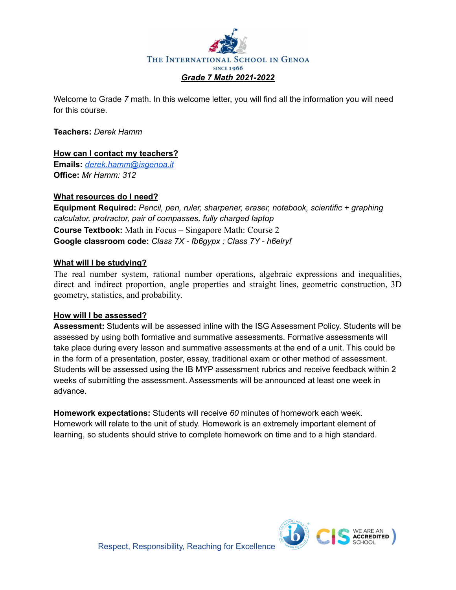

Welcome to Grade *7* math. In this welcome letter, you will find all the information you will need for this course.

#### **Teachers:** *Derek Hamm*

#### **How can I contact my teachers?**

**Emails:** *[derek.hamm@isgenoa.it](mailto:derek.hamm@isgenoa.it)* **Office:** *Mr Hamm: 312*

#### **What resources do I need?**

**Equipment Required:** *Pencil, pen, ruler, sharpener, eraser, notebook, scientific + graphing calculator, protractor, pair of compasses, fully charged laptop* **Course Textbook:** Math in Focus – Singapore Math: Course 2 **Google classroom code:** *Class 7X - fb6gypx ; Class 7Y - h6elryf*

#### **What will I be studying?**

The real number system, rational number operations, algebraic expressions and inequalities, direct and indirect proportion, angle properties and straight lines, geometric construction, 3D geometry, statistics, and probability.

#### **How will I be assessed?**

**Assessment:** Students will be assessed inline with the ISG Assessment Policy. Students will be assessed by using both formative and summative assessments. Formative assessments will take place during every lesson and summative assessments at the end of a unit. This could be in the form of a presentation, poster, essay, traditional exam or other method of assessment. Students will be assessed using the IB MYP assessment rubrics and receive feedback within 2 weeks of submitting the assessment. Assessments will be announced at least one week in advance.

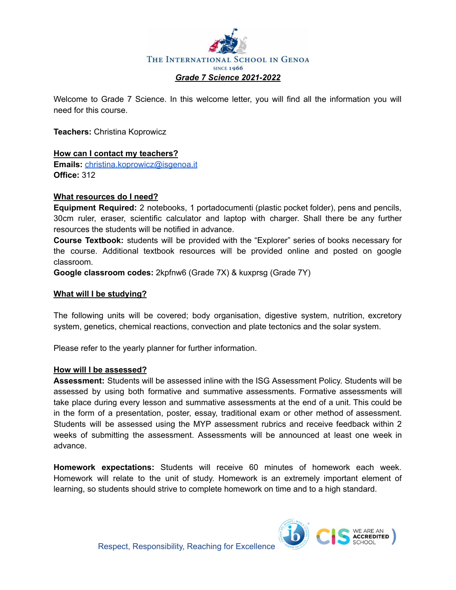

Welcome to Grade 7 Science. In this welcome letter, you will find all the information you will need for this course.

**Teachers:** Christina Koprowicz

#### **How can I contact my teachers?**

**Emails:** [christina.koprowicz@isgenoa.it](mailto:christina.koprowicz@isgenoa.it) **Office:** 312

#### **What resources do I need?**

**Equipment Required:** 2 notebooks, 1 portadocumenti (plastic pocket folder), pens and pencils, 30cm ruler, eraser, scientific calculator and laptop with charger. Shall there be any further resources the students will be notified in advance.

**Course Textbook:** students will be provided with the "Explorer" series of books necessary for the course. Additional textbook resources will be provided online and posted on google classroom.

**Google classroom codes:** 2kpfnw6 (Grade 7X) & kuxprsg (Grade 7Y)

#### **What will I be studying?**

The following units will be covered; body organisation, digestive system, nutrition, excretory system, genetics, chemical reactions, convection and plate tectonics and the solar system.

Please refer to the yearly planner for further information.

#### **How will I be assessed?**

**Assessment:** Students will be assessed inline with the ISG Assessment Policy. Students will be assessed by using both formative and summative assessments. Formative assessments will take place during every lesson and summative assessments at the end of a unit. This could be in the form of a presentation, poster, essay, traditional exam or other method of assessment. Students will be assessed using the MYP assessment rubrics and receive feedback within 2 weeks of submitting the assessment. Assessments will be announced at least one week in advance.

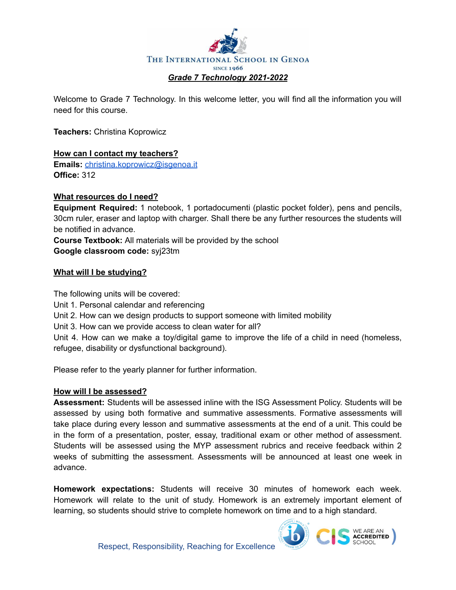

Welcome to Grade 7 Technology. In this welcome letter, you will find all the information you will need for this course.

**Teachers:** Christina Koprowicz

#### **How can I contact my teachers?**

**Emails:** [christina.koprowicz@isgenoa.it](mailto:christina.koprowicz@isgenoa.it) **Office:** 312

#### **What resources do I need?**

**Equipment Required:** 1 notebook, 1 portadocumenti (plastic pocket folder), pens and pencils, 30cm ruler, eraser and laptop with charger. Shall there be any further resources the students will be notified in advance.

**Course Textbook:** All materials will be provided by the school **Google classroom code:** syj23tm

#### **What will I be studying?**

The following units will be covered:

Unit 1. Personal calendar and referencing

Unit 2. How can we design products to support someone with limited mobility

Unit 3. How can we provide access to clean water for all?

Unit 4. How can we make a toy/digital game to improve the life of a child in need (homeless, refugee, disability or dysfunctional background).

Please refer to the yearly planner for further information.

#### **How will I be assessed?**

**Assessment:** Students will be assessed inline with the ISG Assessment Policy. Students will be assessed by using both formative and summative assessments. Formative assessments will take place during every lesson and summative assessments at the end of a unit. This could be in the form of a presentation, poster, essay, traditional exam or other method of assessment. Students will be assessed using the MYP assessment rubrics and receive feedback within 2 weeks of submitting the assessment. Assessments will be announced at least one week in advance.

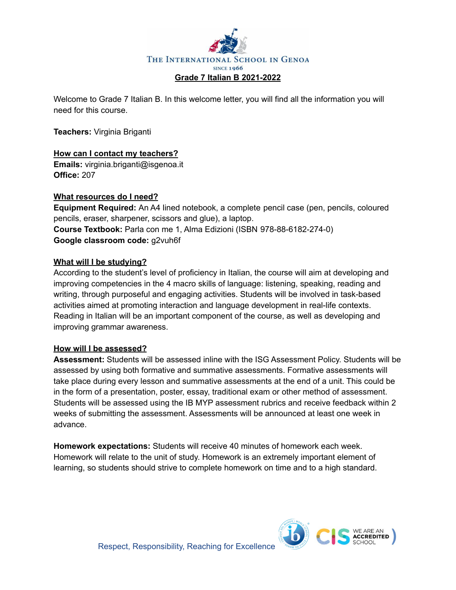

Welcome to Grade 7 Italian B. In this welcome letter, you will find all the information you will need for this course.

**Teachers:** Virginia Briganti

## **How can I contact my teachers?**

**Emails:** virginia.briganti@isgenoa.it **Office:** 207

#### **What resources do I need?**

**Equipment Required:** An A4 lined notebook, a complete pencil case (pen, pencils, coloured pencils, eraser, sharpener, scissors and glue), a laptop. **Course Textbook:** Parla con me 1, Alma Edizioni (ISBN 978-88-6182-274-0) **Google classroom code:** g2vuh6f

#### **What will I be studying?**

According to the student's level of proficiency in Italian, the course will aim at developing and improving competencies in the 4 macro skills of language: listening, speaking, reading and writing, through purposeful and engaging activities. Students will be involved in task-based activities aimed at promoting interaction and language development in real-life contexts. Reading in Italian will be an important component of the course, as well as developing and improving grammar awareness.

#### **How will I be assessed?**

**Assessment:** Students will be assessed inline with the ISG Assessment Policy. Students will be assessed by using both formative and summative assessments. Formative assessments will take place during every lesson and summative assessments at the end of a unit. This could be in the form of a presentation, poster, essay, traditional exam or other method of assessment. Students will be assessed using the IB MYP assessment rubrics and receive feedback within 2 weeks of submitting the assessment. Assessments will be announced at least one week in advance.